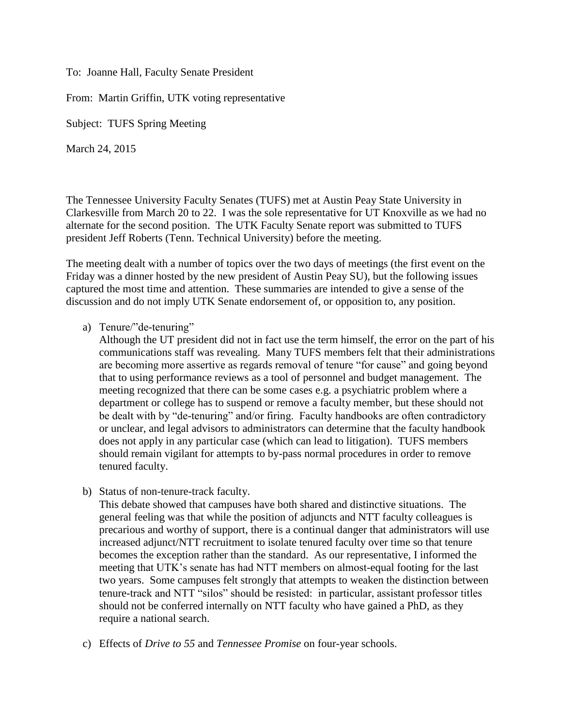To: Joanne Hall, Faculty Senate President

From: Martin Griffin, UTK voting representative

Subject: TUFS Spring Meeting

March 24, 2015

The Tennessee University Faculty Senates (TUFS) met at Austin Peay State University in Clarkesville from March 20 to 22. I was the sole representative for UT Knoxville as we had no alternate for the second position. The UTK Faculty Senate report was submitted to TUFS president Jeff Roberts (Tenn. Technical University) before the meeting.

The meeting dealt with a number of topics over the two days of meetings (the first event on the Friday was a dinner hosted by the new president of Austin Peay SU), but the following issues captured the most time and attention. These summaries are intended to give a sense of the discussion and do not imply UTK Senate endorsement of, or opposition to, any position.

a) Tenure/"de-tenuring"

Although the UT president did not in fact use the term himself, the error on the part of his communications staff was revealing. Many TUFS members felt that their administrations are becoming more assertive as regards removal of tenure "for cause" and going beyond that to using performance reviews as a tool of personnel and budget management. The meeting recognized that there can be some cases e.g. a psychiatric problem where a department or college has to suspend or remove a faculty member, but these should not be dealt with by "de-tenuring" and/or firing. Faculty handbooks are often contradictory or unclear, and legal advisors to administrators can determine that the faculty handbook does not apply in any particular case (which can lead to litigation). TUFS members should remain vigilant for attempts to by-pass normal procedures in order to remove tenured faculty.

b) Status of non-tenure-track faculty.

This debate showed that campuses have both shared and distinctive situations. The general feeling was that while the position of adjuncts and NTT faculty colleagues is precarious and worthy of support, there is a continual danger that administrators will use increased adjunct/NTT recruitment to isolate tenured faculty over time so that tenure becomes the exception rather than the standard. As our representative, I informed the meeting that UTK's senate has had NTT members on almost-equal footing for the last two years. Some campuses felt strongly that attempts to weaken the distinction between tenure-track and NTT "silos" should be resisted: in particular, assistant professor titles should not be conferred internally on NTT faculty who have gained a PhD, as they require a national search.

c) Effects of *Drive to 55* and *Tennessee Promise* on four-year schools.